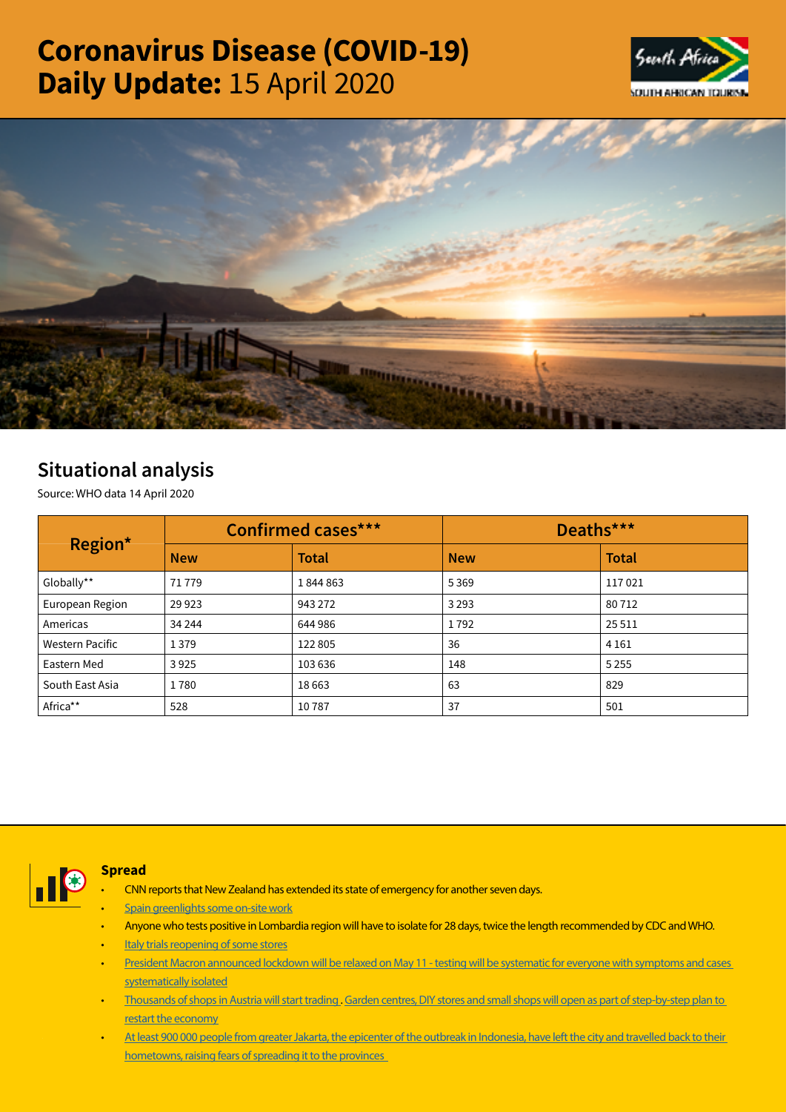# Coronavirus Disease (COVID-19) Daily Update: 15 April 2020





# Situational analysis

Source: WHO data 14 April 2020

| Region*                | <b>Confirmed cases***</b> |              | Deaths***  |              |  |
|------------------------|---------------------------|--------------|------------|--------------|--|
|                        | <b>New</b>                | <b>Total</b> | <b>New</b> | <b>Total</b> |  |
| Globally**             | 71779                     | 1844863      | 5369       | 117021       |  |
| European Region        | 29 9 23                   | 943 272      | 3 2 9 3    | 80712        |  |
| Americas               | 34 244                    | 644 986      | 1792       | 25 5 11      |  |
| <b>Western Pacific</b> | 1379                      | 122805       | 36         | 4 1 6 1      |  |
| Eastern Med            | 3925                      | 103 636      | 148        | 5 2 5 5      |  |
| South East Asia        | 1780                      | 18663        | 63         | 829          |  |
| Africa**               | 528                       | 10787        | 37         | 501          |  |



## Spread

- CNN reports that New Zealand has extended its state of emergency for another seven days.
- [Spain greenlights some on-site work](https://is.gd/Hd2ZZ1)
- Anyone who tests positive in Lombardia region will have to isolate for 28 days, twice the length recommended by CDC and WHO.
- **[Italy trials reopening of some stores](https://is.gd/Hd2ZZ1)**
- [President Macron announced lockdown will be relaxed on May 11 testing will be systematic for everyone with symptoms and cases](https://t.co/5SjlfiH9aG?amp=1)  [systematically isolated](https://t.co/5SjlfiH9aG?amp=1)
- [Thousands of shops in Austria will start trading](https://is.gd/Hd2ZZ1) . [Garden centres, DIY stores and small shops will open as part of step-by-step plan to](https://t.co/1ri5GKwvqI?amp=1)  [restart the economy](https://t.co/1ri5GKwvqI?amp=1)
- At least 900 000 people from greater Jakarta, the epicenter of the outbreak in Indonesia, have left the city and travelled back to their [hometowns, raising fears of spreading it to the provinces](https://t.co/DtsebM9pi6?amp=1)